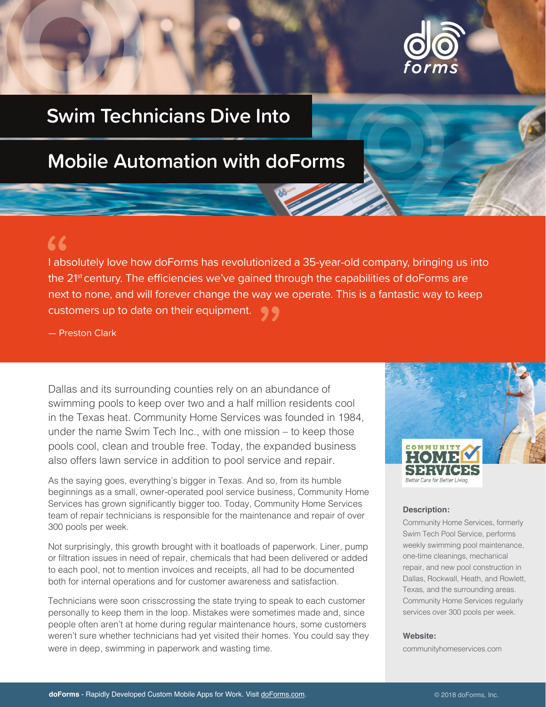

## **Swim Technicians Dive Into**

# **Mobile Automation with doForms**

### $66$

I absolutely love how doForms has revolutionized a 35-year-old company, bringing us into the 2<sup>1st</sup> century. The efficiencies we've gained through the capabilities of doForms are next to none, and will forever change the way we operate. This is a fantastic way to keep customers up to date on their equipment. "

— Preston Clark

Dallas and its surrounding counties rely on an abundance of swimming pools to keep over two and a half million residents cool in the Texas heat. Community Home Services was founded in 1984, under the name Swim Tech Inc., with one mission – to keep those pools cool, clean and trouble free. Today, the expanded business also offers lawn service in addition to pool service and repair.

As the saying goes, everything's bigger in Texas. And so, from its humble beginnings as a small, owner-operated pool service business, Community Home Services has grown significantly bigger too. Today, Community Home Services team of repair technicians is responsible for the maintenance and repair of over 300 pools per week.

Not surprisingly, this growth brought with it boatloads of paperwork. Liner, pump or filtration issues in need of repair, chemicals that had been delivered or added to each pool, not to mention invoices and receipts, all had to be documented both for internal operations and for customer awareness and satisfaction.

Technicians were soon crisscrossing the state trying to speak to each customer personally to keep them in the loop. Mistakes were sometimes made and, since people often aren't at home during regular maintenance hours, some customers weren't sure whether technicians had yet visited their homes. You could say they were in deep, swimming in paperwork and wasting time.



#### **Description:**

Community Home Services, formerly Swim Tech Pool Service, performs weekly swimming pool maintenance, one-time cleanings, mechanical repair, and new pool construction in Dallas, Rockwall, Heath, and Rowlett, Texas, and the surrounding areas. Community Home Services regularly services over 300 pools per week.

#### **Website:**

communityhomeservices.com